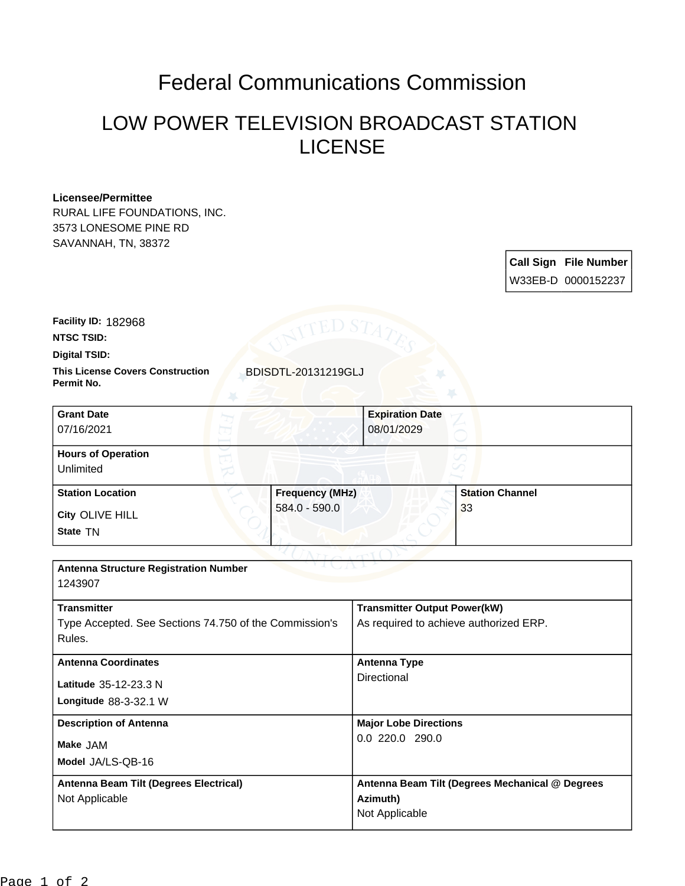## Federal Communications Commission

## LOW POWER TELEVISION BROADCAST STATION LICENSE

## **Licensee/Permittee**

RURAL LIFE FOUNDATIONS, INC. 3573 LONESOME PINE RD SAVANNAH, TN, 38372

> **Call Sign File Number** W33EB-D 0000152237

**Facility ID:** 182968

**NTSC TSID:**

**Digital TSID:**

**This License Covers Construction BDISDTL-20131219GLJ Permit No.**

| <b>Grant Date</b><br>07/16/2021        |                        | <b>Expiration Date</b><br>08/01/2029 |                        |
|----------------------------------------|------------------------|--------------------------------------|------------------------|
| <b>Hours of Operation</b><br>Unlimited |                        |                                      |                        |
| <b>Station Location</b>                | <b>Frequency (MHz)</b> |                                      | <b>Station Channel</b> |
| City OLIVE HILL<br>State TN            | 584.0 - 590.0          |                                      | 33                     |

| <b>Antenna Structure Registration Number</b><br>1243907                                |                                                                               |  |  |  |  |  |
|----------------------------------------------------------------------------------------|-------------------------------------------------------------------------------|--|--|--|--|--|
| <b>Transmitter</b><br>Type Accepted. See Sections 74.750 of the Commission's<br>Rules. | <b>Transmitter Output Power(kW)</b><br>As required to achieve authorized ERP. |  |  |  |  |  |
| <b>Antenna Coordinates</b><br>Latitude 35-12-23.3 N<br>Longitude $88-3-32.1$ W         | Antenna Type<br>Directional                                                   |  |  |  |  |  |
| <b>Description of Antenna</b><br>Make JAM<br>Model JA/LS-QB-16                         | <b>Major Lobe Directions</b><br>0.0220.0290.0                                 |  |  |  |  |  |
| Antenna Beam Tilt (Degrees Electrical)<br>Not Applicable                               | Antenna Beam Tilt (Degrees Mechanical @ Degrees<br>Azimuth)<br>Not Applicable |  |  |  |  |  |